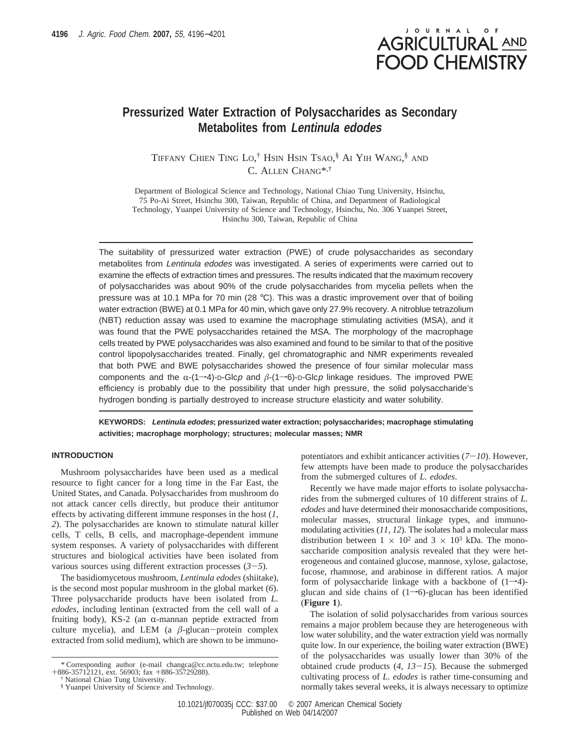

# **Pressurized Water Extraction of Polysaccharides as Secondary Metabolites from Lentinula edodes**

TIFFANY CHIEN TING LO, † HSIN HSIN TSAO, § AI YIH WANG, § AND C. ALLEN CHANG\*,†

Department of Biological Science and Technology, National Chiao Tung University, Hsinchu, 75 Po-Ai Street, Hsinchu 300, Taiwan, Republic of China, and Department of Radiological Technology, Yuanpei University of Science and Technology, Hsinchu, No. 306 Yuanpei Street, Hsinchu 300, Taiwan, Republic of China

The suitability of pressurized water extraction (PWE) of crude polysaccharides as secondary metabolites from Lentinula edodes was investigated. A series of experiments were carried out to examine the effects of extraction times and pressures. The results indicated that the maximum recovery of polysaccharides was about 90% of the crude polysaccharides from mycelia pellets when the pressure was at 10.1 MPa for 70 min (28 °C). This was a drastic improvement over that of boiling water extraction (BWE) at 0.1 MPa for 40 min, which gave only 27.9% recovery. A nitroblue tetrazolium (NBT) reduction assay was used to examine the macrophage stimulating activities (MSA), and it was found that the PWE polysaccharides retained the MSA. The morphology of the macrophage cells treated by PWE polysaccharides was also examined and found to be similar to that of the positive control lipopolysaccharides treated. Finally, gel chromatographic and NMR experiments revealed that both PWE and BWE polysaccharides showed the presence of four similar molecular mass components and the  $\alpha$ -(1–4)-D-Glcp and  $\beta$ -(1–6)-D-Glcp linkage residues. The improved PWE efficiency is probably due to the possibility that under high pressure, the solid polysaccharide's hydrogen bonding is partially destroyed to increase structure elasticity and water solubility.

**KEYWORDS: Lentinula edodes; pressurized water extraction; polysaccharides; macrophage stimulating activities; macrophage morphology; structures; molecular masses; NMR**

## **INTRODUCTION**

Mushroom polysaccharides have been used as a medical resource to fight cancer for a long time in the Far East, the United States, and Canada. Polysaccharides from mushroom do not attack cancer cells directly, but produce their antitumor effects by activating different immune responses in the host (*1*, *2*). The polysaccharides are known to stimulate natural killer cells, T cells, B cells, and macrophage-dependent immune system responses. A variety of polysaccharides with different structures and biological activities have been isolated from various sources using different extraction processes  $(3-5)$ .

The basidiomycetous mushroom*, Lentinula edodes* (shiitake), is the second most popular mushroom in the global market (*6*). Three polysaccharide products have been isolated from *L. edodes*, including lentinan (extracted from the cell wall of a fruiting body), KS-2 (an  $\alpha$ -mannan peptide extracted from culture mycelia), and LEM (a  $\beta$ -glucan-protein complex extracted from solid medium), which are shown to be immunopotentiators and exhibit anticancer activities (*7*-*10*). However, few attempts have been made to produce the polysaccharides from the submerged cultures of *L. edodes*.

Recently we have made major efforts to isolate polysaccharides from the submerged cultures of 10 different strains of *L. edodes* and have determined their monosaccharide compositions, molecular masses, structural linkage types, and immunomodulating activities (*11*, *12*). The isolates had a molecular mass distribution between  $1 \times 10^2$  and  $3 \times 10^3$  kDa. The monosaccharide composition analysis revealed that they were heterogeneous and contained glucose, mannose, xylose, galactose, fucose, rhamnose, and arabinose in different ratios. A major form of polysaccharide linkage with a backbone of  $(1\rightarrow 4)$ glucan and side chains of  $(1\rightarrow 6)$ -glucan has been identified (**Figure 1**).

The isolation of solid polysaccharides from various sources remains a major problem because they are heterogeneous with low water solubility, and the water extraction yield was normally quite low. In our experience, the boiling water extraction (BWE) of the polysaccharides was usually lower than 30% of the obtained crude products (*4*, *<sup>13</sup>*-*15*). Because the submerged cultivating process of *L. edodes* is rather time-consuming and normally takes several weeks, it is always necessary to optimize

*<sup>\*</sup>* Corresponding author (e-mail changca@cc.nctu.edu.tw; telephone +886-35712121, ext. 56903; fax +886-35729288).

<sup>†</sup> National Chiao Tung University.

<sup>§</sup> Yuanpei University of Science and Technology.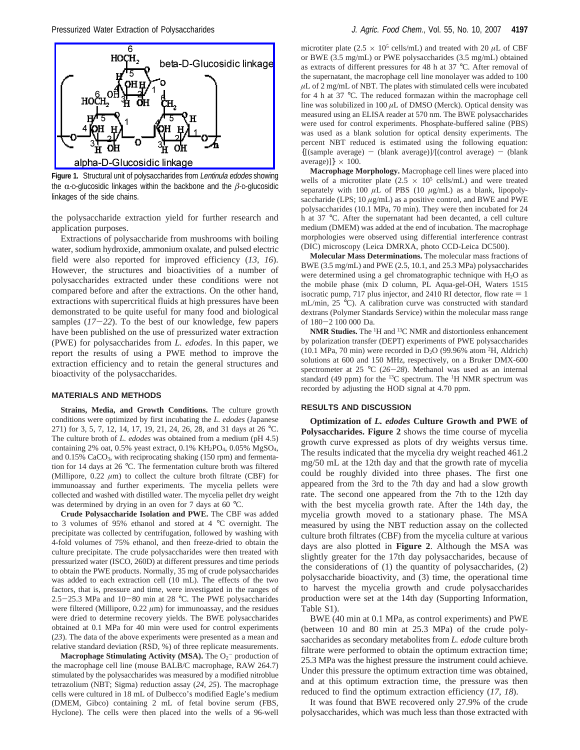

Figure 1. Structural unit of polysaccharides from Lentinula edodes showing the  $\alpha$ -D-glucosidic linkages within the backbone and the  $\beta$ -D-glucosidic linkages of the side chains.

the polysaccharide extraction yield for further research and application purposes.

Extractions of polysaccharide from mushrooms with boiling water, sodium hydroxide, ammonium oxalate, and pulsed electric field were also reported for improved efficiency (*13*, *16*). However, the structures and bioactivities of a number of polysaccharides extracted under these conditions were not compared before and after the extractions. On the other hand, extractions with supercritical fluids at high pressures have been demonstrated to be quite useful for many food and biological samples (*17*-*22*). To the best of our knowledge, few papers have been published on the use of pressurized water extraction (PWE) for polysaccharides from *L. edodes*. In this paper, we report the results of using a PWE method to improve the extraction efficiency and to retain the general structures and bioactivity of the polysaccharides.

#### **MATERIALS AND METHODS**

**Strains, Media, and Growth Conditions.** The culture growth conditions were optimized by first incubating the *L. edodes* (Japanese 271) for 3, 5, 7, 12, 14, 17, 19, 21, 24, 26, 28, and 31 days at 26 °C. The culture broth of *L. edodes* was obtained from a medium (pH 4.5) containing 2% oat, 0.5% yeast extract, 0.1% KH<sub>2</sub>PO<sub>4</sub>, 0.05% MgSO<sub>4</sub>, and 0.15% CaCO<sub>3</sub>, with reciprocating shaking (150 rpm) and fermentation for 14 days at 26 °C. The fermentation culture broth was filtered (Millipore,  $0.22 \mu m$ ) to collect the culture broth filtrate (CBF) for immunoassay and further experiments. The mycelia pellets were collected and washed with distilled water. The mycelia pellet dry weight was determined by drying in an oven for 7 days at 60 °C.

**Crude Polysaccharide Isolation and PWE.** The CBF was added to 3 volumes of 95% ethanol and stored at 4 °C overnight. The precipitate was collected by centrifugation, followed by washing with 4-fold volumes of 75% ethanol, and then freeze-dried to obtain the culture precipitate. The crude polysaccharides were then treated with pressurized water (ISCO, 260D) at different pressures and time periods to obtain the PWE products. Normally, 35 mg of crude polysaccharides was added to each extraction cell (10 mL). The effects of the two factors, that is, pressure and time, were investigated in the ranges of 2.5-25.3 MPa and 10-80 min at 28 °C. The PWE polysaccharides were filtered (Millipore,  $0.22 \mu m$ ) for immunoassay, and the residues were dried to determine recovery yields. The BWE polysaccharides obtained at 0.1 MPa for 40 min were used for control experiments (*23*). The data of the above experiments were presented as a mean and relative standard deviation (RSD, %) of three replicate measurements.

**Macrophage Stimulating Activity (MSA).** The O<sub>2</sub><sup>-</sup> production of the macrophage cell line (mouse BALB/C macrophage, RAW 264.7) stimulated by the polysaccharides was measured by a modified nitroblue tetrazolium (NBT; Sigma) reduction assay (*24*, *25*). The macrophage cells were cultured in 18 mL of Dulbecco's modified Eagle's medium (DMEM, Gibco) containing 2 mL of fetal bovine serum (FBS, Hyclone). The cells were then placed into the wells of a 96-well

microtiter plate (2.5  $\times$  10<sup>5</sup> cells/mL) and treated with 20  $\mu$ L of CBF or BWE (3.5 mg/mL) or PWE polysaccharides (3.5 mg/mL) obtained as extracts of different pressures for 48 h at 37 °C. After removal of the supernatant, the macrophage cell line monolayer was added to 100  $\mu$ L of 2 mg/mL of NBT. The plates with stimulated cells were incubated for 4 h at 37 °C. The reduced formazan within the macrophage cell line was solubilized in 100 *µ*L of DMSO (Merck). Optical density was measured using an ELISA reader at 570 nm. The BWE polysaccharides were used for control experiments. Phosphate-buffered saline (PBS) was used as a blank solution for optical density experiments. The percent NBT reduced is estimated using the following equation:  ${[(sample average) - (blank average)] / [(control average) - (blank)]}$ average)] $\} \times 100$ .

**Macrophage Morphology.** Macrophage cell lines were placed into wells of a microtiter plate  $(2.5 \times 10^5 \text{ cells/mL})$  and were treated separately with 100  $\mu$ L of PBS (10  $\mu$ g/mL) as a blank, lipopolysaccharide (LPS; 10  $\mu$ g/mL) as a positive control, and BWE and PWE polysaccharides (10.1 MPa, 70 min). They were then incubated for 24 h at 37 °C. After the supernatant had been decanted, a cell culture medium (DMEM) was added at the end of incubation. The macrophage morphologies were observed using differential interference contrast (DIC) microscopy (Leica DMRXA, photo CCD-Leica DC500).

**Molecular Mass Determinations.** The molecular mass fractions of BWE (3.5 mg/mL) and PWE (2.5, 10.1, and 25.3 MPa) polysaccharides were determined using a gel chromatographic technique with  $H_2O$  as the mobile phase (mix D column, PL Aqua-gel-OH, Waters 1515 isocratic pump, 717 plus injector, and 2410 RI detector, flow rate  $= 1$ mL/min, 25 °C). A calibration curve was constructed with standard dextrans (Polymer Standards Service) within the molecular mass range of 180-2 100 000 Da.

**NMR Studies.** The <sup>1</sup> H and 13C NMR and distortionless enhancement by polarization transfer (DEPT) experiments of PWE polysaccharides  $(10.1 \text{ MPa}, 70 \text{ min})$  were recorded in D<sub>2</sub>O (99.96% atom <sup>2</sup>H, Aldrich) solutions at 600 and 150 MHz, respectively, on a Bruker DMX-600 spectrometer at 25 °C (*26*-*28*). Methanol was used as an internal standard (49 ppm) for the  $^{13}$ C spectrum. The <sup>1</sup>H NMR spectrum was recorded by adjusting the HOD signal at 4.70 ppm.

#### **RESULTS AND DISCUSSION**

**Optimization of** *L. edodes* **Culture Growth and PWE of Polysaccharides. Figure 2** shows the time course of mycelia growth curve expressed as plots of dry weights versus time. The results indicated that the mycelia dry weight reached 461.2 mg/50 mL at the 12th day and that the growth rate of mycelia could be roughly divided into three phases. The first one appeared from the 3rd to the 7th day and had a slow growth rate. The second one appeared from the 7th to the 12th day with the best mycelia growth rate. After the 14th day, the mycelia growth moved to a stationary phase. The MSA measured by using the NBT reduction assay on the collected culture broth filtrates (CBF) from the mycelia culture at various days are also plotted in **Figure 2**. Although the MSA was slightly greater for the 17th day polysaccharides, because of the considerations of (1) the quantity of polysaccharides, (2) polysaccharide bioactivity, and (3) time, the operational time to harvest the mycelia growth and crude polysaccharides production were set at the 14th day (Supporting Information, Table S1).

BWE (40 min at 0.1 MPa, as control experiments) and PWE (between 10 and 80 min at 25.3 MPa) of the crude polysaccharides as secondary metabolites from *L. edode* culture broth filtrate were performed to obtain the optimum extraction time; 25.3 MPa was the highest pressure the instrument could achieve. Under this pressure the optimum extraction time was obtained, and at this optimum extraction time, the pressure was then reduced to find the optimum extraction efficiency (*17*, *18*).

It was found that BWE recovered only 27.9% of the crude polysaccharides, which was much less than those extracted with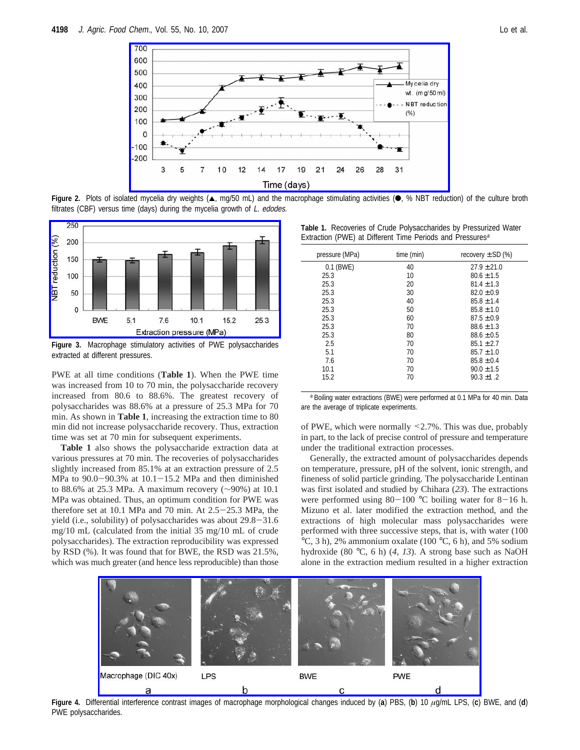

Figure 2. Plots of isolated mycelia dry weights (A, mg/50 mL) and the macrophage stimulating activities (. % NBT reduction) of the culture broth filtrates (CBF) versus time (days) during the mycelia growth of L. edodes.



**Figure 3.** Macrophage stimulatory activities of PWE polysaccharides extracted at different pressures.

PWE at all time conditions (**Table 1**). When the PWE time was increased from 10 to 70 min, the polysaccharide recovery increased from 80.6 to 88.6%. The greatest recovery of polysaccharides was 88.6% at a pressure of 25.3 MPa for 70 min. As shown in **Table 1**, increasing the extraction time to 80 min did not increase polysaccharide recovery. Thus, extraction time was set at 70 min for subsequent experiments.

**Table 1** also shows the polysaccharide extraction data at various pressures at 70 min. The recoveries of polysaccharides slightly increased from 85.1% at an extraction pressure of 2.5 MPa to  $90.0-90.3\%$  at  $10.1-15.2$  MPa and then diminished to 88.6% at 25.3 MPa. A maximum recovery (∼90%) at 10.1 MPa was obtained. Thus, an optimum condition for PWE was therefore set at 10.1 MPa and 70 min. At 2.5-25.3 MPa, the yield (i.e., solubility) of polysaccharides was about 29.8-31.6 mg/10 mL (calculated from the initial 35 mg/10 mL of crude polysaccharides). The extraction reproducibility was expressed by RSD (%). It was found that for BWE, the RSD was 21.5%, which was much greater (and hence less reproducible) than those

**Table 1.** Recoveries of Crude Polysaccharides by Pressurized Water Extraction (PWE) at Different Time Periods and Pressures<sup>a</sup>

| pressure (MPa) | time (min) | recovery $\pm$ SD (%) |
|----------------|------------|-----------------------|
| 0.1 (BWE)      | 40         | $27.9 \pm 21.0$       |
| 25.3           | 10         | $80.6 \pm 1.5$        |
| 25.3           | 20         | $81.4 \pm 1.3$        |
| 25.3           | 30         | $82.0 \pm 0.9$        |
| 25.3           | 40         | $85.8 \pm 1.4$        |
| 25.3           | 50         | $85.8 \pm 1.0$        |
| 25.3           | 60         | $87.5 \pm 0.9$        |
| 25.3           | 70         | $88.6 \pm 1.3$        |
| 25.3           | 80         | $88.6 \pm 0.5$        |
| 2.5            | 70         | $85.1 \pm 2.7$        |
| 5.1            | 70         | $85.7 \pm 1.0$        |
| 7.6            | 70         | $85.8 \pm 0.4$        |
| 10.1           | 70         | $90.0 \pm 1.5$        |
| 15.2           | 70         | $90.3 \pm 1.2$        |

<sup>a</sup> Boiling water extractions (BWE) were performed at 0.1 MPa for 40 min. Data are the average of triplicate experiments.

of PWE, which were normally <2.7%. This was due, probably in part, to the lack of precise control of pressure and temperature under the traditional extraction processes.

Generally, the extracted amount of polysaccharides depends on temperature, pressure, pH of the solvent, ionic strength, and fineness of solid particle grinding. The polysaccharide Lentinan was first isolated and studied by Chihara (*23*). The extractions were performed using  $80-100$  °C boiling water for  $8-16$  h. Mizuno et al. later modified the extraction method, and the extractions of high molecular mass polysaccharides were performed with three successive steps, that is, with water (100 °C, 3 h), 2% ammonium oxalate (100 °C, 6 h), and 5% sodium hydroxide (80 °C, 6 h) (*4*, *13*). A strong base such as NaOH alone in the extraction medium resulted in a higher extraction



**Figure 4.** Differential interference contrast images of macrophage morphological changes induced by (**a**) PBS, (**b**) 10 *µ*g/mL LPS, (**c**) BWE, and (**d**) PWE polysaccharides.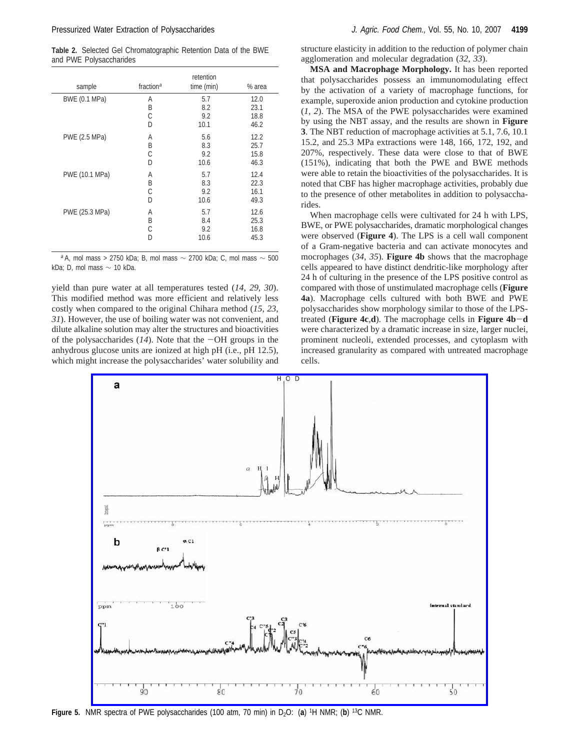**Table 2.** Selected Gel Chromatographic Retention Data of the BWE and PWE Polysaccharides

| sample         | fraction <sup>a</sup> | retention<br>time (min) | % area |
|----------------|-----------------------|-------------------------|--------|
| BWE (0.1 MPa)  | A                     | 5.7                     | 12.0   |
|                | B                     | 8.2                     | 23.1   |
|                | С                     | 9.2                     | 18.8   |
|                | D                     | 10.1                    | 46.2   |
| PWE (2.5 MPa)  | A                     | 5.6                     | 12.2   |
|                | B                     | 8.3                     | 25.7   |
|                | С                     | 9.2                     | 15.8   |
|                | D                     | 10.6                    | 46.3   |
| PWE (10.1 MPa) | Α                     | 5.7                     | 12.4   |
|                | B                     | 8.3                     | 22.3   |
|                | С                     | 9.2                     | 16.1   |
|                | D                     | 10.6                    | 49.3   |
| PWE (25.3 MPa) | A                     | 5.7                     | 12.6   |
|                | B                     | 8.4                     | 25.3   |
|                | С                     | 9.2                     | 16.8   |
|                | D                     | 10.6                    | 45.3   |

a A, mol mass > 2750 kDa; B, mol mass  $\sim$  2700 kDa; C, mol mass  $\sim$  500 kDa; D, mol mass  $\sim$  10 kDa.

yield than pure water at all temperatures tested (*14*, *29*, *30*). This modified method was more efficient and relatively less costly when compared to the original Chihara method (*15*, *23*, *31*). However, the use of boiling water was not convenient, and dilute alkaline solution may alter the structures and bioactivities of the polysaccharides  $(14)$ . Note that the  $-OH$  groups in the anhydrous glucose units are ionized at high pH (i.e., pH 12.5), which might increase the polysaccharides' water solubility and

structure elasticity in addition to the reduction of polymer chain agglomeration and molecular degradation (*32*, *33*).

**MSA and Macrophage Morphology.** It has been reported that polysaccharides possess an immunomodulating effect by the activation of a variety of macrophage functions, for example, superoxide anion production and cytokine production (*1*, *2*). The MSA of the PWE polysaccharides were examined by using the NBT assay, and the results are shown in **Figure 3**. The NBT reduction of macrophage activities at 5.1, 7.6, 10.1 15.2, and 25.3 MPa extractions were 148, 166, 172, 192, and 207%, respectively. These data were close to that of BWE (151%), indicating that both the PWE and BWE methods were able to retain the bioactivities of the polysaccharides. It is noted that CBF has higher macrophage activities, probably due to the presence of other metabolites in addition to polysaccharides.

When macrophage cells were cultivated for 24 h with LPS, BWE, or PWE polysaccharides, dramatic morphological changes were observed (**Figure 4**). The LPS is a cell wall component of a Gram-negative bacteria and can activate monocytes and mocrophages (*34*, *35*). **Figure 4b** shows that the macrophage cells appeared to have distinct dendritic-like morphology after 24 h of culturing in the presence of the LPS positive control as compared with those of unstimulated macrophage cells (**Figure 4a**). Macrophage cells cultured with both BWE and PWE polysaccharides show morphology similar to those of the LPStreated (**Figure 4c**,**d**). The macrophage cells in **Figure 4b**-**<sup>d</sup>** were characterized by a dramatic increase in size, larger nuclei, prominent nucleoli, extended processes, and cytoplasm with increased granularity as compared with untreated macrophage cells.



**Figure 5.** NMR spectra of PWE polysaccharides (100 atm, 70 min) in D<sub>2</sub>O: (a) <sup>1</sup>H NMR; (b) <sup>13</sup>C NMR.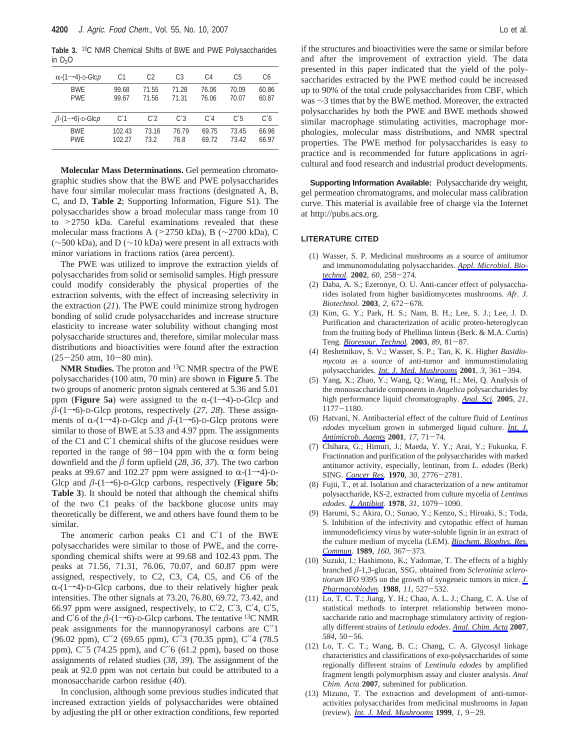**Table 3.** 13C NMR Chemical Shifts of BWE and PWE Polysaccharides in  $D_2O$ 

| $\alpha$ -(1--4)-D-Glcp              | C1               | C <sub>2</sub> | C3             | C4             | C5             | C6             |
|--------------------------------------|------------------|----------------|----------------|----------------|----------------|----------------|
| <b>BWF</b><br><b>PWF</b>             | 99.68<br>99.67   | 71.55<br>71.56 | 71.28<br>71.31 | 76.06<br>76.06 | 70.09<br>70.07 | 60.86<br>60.87 |
| $\beta$ -(1- $\rightarrow$ 6)-D-Glcp | C'1              | C <sub>2</sub> | C'3            | C/4            | C <sub>5</sub> | C <sub>6</sub> |
| <b>BWF</b><br><b>PWE</b>             | 102.43<br>102.27 | 73.16<br>73.2  | 76.79<br>76.8  | 69.75<br>69.72 | 73.45<br>73.42 | 66.96<br>66.97 |

**Molecular Mass Determinations.** Gel permeation chromatographic studies show that the BWE and PWE polysaccharides have four similar molecular mass fractions (designated A, B, C, and D, **Table 2**; Supporting Information, Figure S1). The polysaccharides show a broad molecular mass range from 10 to >2750 kDa. Careful examinations revealed that these molecular mass fractions A (>2750 kDa), B (∼2700 kDa), C (∼500 kDa), and D (∼10 kDa) were present in all extracts with minor variations in fractions ratios (area percent).

The PWE was utilized to improve the extraction yields of polysaccharides from solid or semisolid samples. High pressure could modify considerably the physical properties of the extraction solvents, with the effect of increasing selectivity in the extraction (*21*). The PWE could minimize strong hydrogen bonding of solid crude polysaccharides and increase structure elasticity to increase water solubility without changing most polysaccharide structures and, therefore, similar molecular mass distributions and bioactivities were found after the extraction  $(25-250$  atm,  $10-80$  min).

**NMR Studies.** The proton and 13C NMR spectra of the PWE polysaccharides (100 atm, 70 min) are shown in **Figure 5**. The two groups of anomeric proton signals centered at 5.36 and 5.01 ppm (**Figure 5a**) were assigned to the  $\alpha$ -(1–4)-D-Glcp and  $\beta$ -(1–6)-D-Glcp protons, respectively (27, 28). These assignments of  $\alpha$ -(1–4)-D-Glcp and  $\beta$ -(1–6)-D-Glcp protons were similar to those of BWE at 5.33 and 4.97 ppm. The assignments of the C1 and C′1 chemical shifts of the glucose residues were reported in the range of  $98-104$  ppm with the  $\alpha$  form being downfield and the  $\beta$  form upfield (28, 36, 37). The two carbon peaks at 99.67 and 102.27 ppm were assigned to  $\alpha$ -(1–4)-D-Glcp and  $\beta$ -(1–6)-D-Glcp carbons, respectively (**Figure 5b**; **Table 3**). It should be noted that although the chemical shifts of the two C1 peaks of the backbone glucose units may theoretically be different, we and others have found them to be similar.

The anomeric carbon peaks C1 and C'1 of the BWE polysaccharides were similar to those of PWE, and the corresponding chemical shifts were at 99.68 and 102.43 ppm. The peaks at 71.56, 71.31, 76.06, 70.07, and 60.87 ppm were assigned, respectively, to C2, C3, C4, C5, and C6 of the  $\alpha$ -(1–4)-D-Glcp carbons, due to their relatively higher peak intensities. The other signals at 73.20, 76.80, 69.72, 73.42, and 66.97 ppm were assigned, respectively, to  $C<sup>2</sup>$ ,  $C<sup>3</sup>$ ,  $C<sup>4</sup>$ ,  $C<sup>5</sup>$ , and C'6 of the  $\beta$ -(1–6)-D-Glcp carbons. The tentative <sup>13</sup>C NMR peak assignments for the mannopyranosyl carbons are C′′1 (96.02 ppm), C′′2 (69.65 ppm), C′′3 (70.35 ppm), C′′4 (78.5 ppm), C′′5 (74.25 ppm), and C′′6 (61.2 ppm), based on those assignments of related studies (*38*, *39*). The assignment of the peak at 92.0 ppm was not certain but could be attributed to a monosaccharide carbon residue (*40*).

In conclusion, although some previous studies indicated that increased extraction yields of polysaccharides were obtained by adjusting the pH or other extraction conditions, few reported

if the structures and bioactivities were the same or similar before and after the improvement of extraction yield. The data presented in this paper indicated that the yield of the polysaccharides extracted by the PWE method could be increased up to 90% of the total crude polysaccharides from CBF, which was ∼3 times that by the BWE method. Moreover, the extracted polysaccharides by both the PWE and BWE methods showed similar macrophage stimulating activities, macrophage morphologies, molecular mass distributions, and NMR spectral properties. The PWE method for polysaccharides is easy to practice and is recommended for future applications in agricultural and food research and industrial product developments.

**Supporting Information Available:** Polysaccharide dry weight, gel permeation chromatograms, and molecular mass calibration curve. This material is available free of charge via the Internet at http://pubs.acs.org.

### **LITERATURE CITED**

- (1) Wasser, S. P. Medicinal mushrooms as a source of antitumor and immunomodulating polysaccharides. *Appl. Microbiol. Biotechnol.* **<sup>2002</sup>**, *<sup>60</sup>*, 258-274.
- (2) Daba, A. S.; Ezeronye, O. U. Anti-cancer effect of polysaccharides isolated from higher basidiomycetes mushrooms. *Afr. J. Biotechnol.* **<sup>2003</sup>**, *<sup>2</sup>*, 672-678.
- (3) Kim, G. Y.; Park, H. S.; Nam, B. H.; Lee, S. J.; Lee, J. D. Purification and characterization of acidic proteo-heteroglycan from the fruiting body of Phellinus linteus (Berk. & M.A. Curtis) Teng. *Bioresour. Technol.* **<sup>2003</sup>**, *<sup>89</sup>*, 81-87.
- (4) Reshetnikov, S. V.; Wasser, S. P.; Tan, K. K. Higher *Basidiomycota* as a source of anti-tumor and immunostimulating polysaccharides. *Int. J. Med. Mushrooms* **<sup>2001</sup>**, *<sup>3</sup>*, 361-394.
- (5) Yang, X.; Zhao, Y.; Wang, Q.; Wang, H.; Mei, Q. Analysis of the monosaccharide components in *Angelica* polysaccharides by high performance liquid chromatography. *Anal. Sci.* **2005**, *21*, <sup>1177</sup>-1180.
- (6) Hatvani, N. Antibacterial effect of the culture fluid of *Lentinus edodes* mycelium grown in submerged liquid culture. *Int. J. Antimicrob. Agents* **<sup>2001</sup>**, *<sup>17</sup>*, 71-74.
- (7) Chihara, G.; Himuri, J.; Maeda, Y. Y.; Arai, Y.; Fukuoka, F. Fractionation and purification of the polysaccharides with marked antitumor activity, especially, lentinan, from *L. edodes* (Berk) SING. *Cancer Res.* **<sup>1970</sup>**, *<sup>30</sup>*, 2776-2781.
- (8) Fujii, T., et al. Isolation and characterization of a new antitumor polysaccharide, KS-2, extracted from culture mycelia of *Lentinus edodes. J. Antibiot.* **<sup>1978</sup>**, *<sup>31</sup>*, 1079-1090.
- (9) Harumi, S.; Akira, O.; Sunao, Y.; Kenzo, S.; Hiroaki, S.; Toda, S. Inhibition of the infectivity and cytopathic effect of human immunodeficiency virus by water-soluble lignin in an extract of the culture medium of mycelia (LEM). *Biochem. Biophys. Res. Commun.* **<sup>1989</sup>**, *<sup>160</sup>*, 367-373.
- (10) Suzuki, I.; Hashimoto, K.; Yadomae, T. The effects of a highly branched *â*-1,3-glucan, SSG, obtained from *Sclerotinia sclerotiorum* IFO 9395 on the growth of syngeneic tumors in mice. *J. Pharmacobiodyn.* **<sup>1988</sup>**, *<sup>11</sup>*, 527-532.
- (11) Lo, T. C. T.; Jiang, Y. H.; Chao, A. L. J.; Chang, C. A. Use of statistical methods to interpret relationship between monosaccharide ratio and macrophage stimulatory activity of regionally different strains of *Letinula edodes*. *Anal. Chim. Acta* **2007**, *<sup>584</sup>*, 50-56.
- (12) Lo, T. C. T.; Wang, B. C.; Chang, C. A. Glycosyl linkage characteristics and classifications of exo-polysaccharides of some regionally different strains of *Lentinula edodes* by amplified fragment length polymorphism assay and cluster analysis. *Anal Chim. Acta* **2007**, submitted for publication.
- (13) Mizuno, T. The extraction and development of anti-tumoractivities polysaccharides from medicinal mushrooms in Japan (review). *Int. J. Med. Mushrooms* **<sup>1999</sup>**, *<sup>1</sup>*, 9-29.